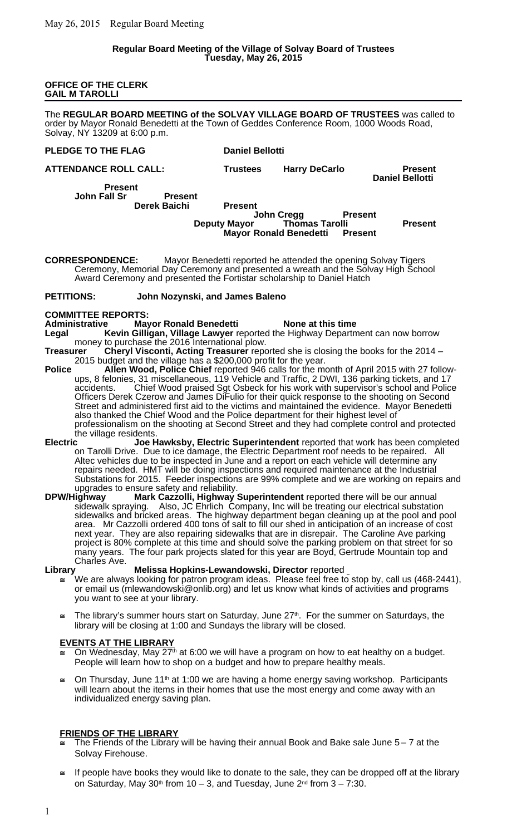### **Regular Board Meeting of the Village of Solvay Board of Trustees Tuesday, May 26, 2015**

#### **OFFICE OF THE CLERK GAIL M TAROLLI**

The **REGULAR BOARD MEETING of the SOLVAY VILLAGE BOARD OF TRUSTEES** was called to order by Mayor Ronald Benedetti at the Town of Geddes Conference Room, 1000 Woods Road, Solvay, NY 13209 at 6:00 p.m.

### **PLEDGE TO THE FLAG Daniel Bellotti**

**ATTENDANCE ROLL CALL: Trustees Harry DeCarlo Present**

**Daniel Bellotti**

**Present John Fall Sr Present Derek Baichi Present**

**John Cregg Present<br>Deputy Mayor Thomas Tarolli Thomas Tarolli Present**<br>**Benedetti Present Mayor Ronald Benedetti** 

**CORRESPONDENCE:** Mayor Benedetti reported he attended the opening Solvay Tigers Ceremony, Memorial Day Ceremony and presented a wreath and the Solvay High School Award Ceremony and presented the Fortistar scholarship to Daniel Hatch

### **PETITIONS: John Nozynski, and James Baleno**

**COMMITTEE REPORTS:**

**Administrative Mayor Ronald Benedetti None at this time**

- **Legal Kevin Gilligan, Village Lawyer** reported the Highway Department can now borrow money to purchase the 2016 International plow.
- **Treasurer Cheryl Visconti, Acting Treasurer** reported she is closing the books for the 2014 2015 budget and the village has a \$200,000 profit for the year.
- **Police Allen Wood, Police Chief** reported 946 calls for the month of April 2015 with 27 followups, 8 felonies, 31 miscellaneous, 119 Vehicle and Traffic, 2 DWI, 136 parking tickets, and 17 accidents. Chief Wood praised Sgt Osbeck for his work with supervisor's school and Police Officers Derek Czerow and James DiFulio for their quick response to the shooting on Second Street and administered first aid to the victims and maintained the evidence. Mayor Benedetti also thanked the Chief Wood and the Police department for their highest level of professionalism on the shooting at Second Street and they had complete control and protected the village residents.<br>**Electric** Joe **F**
- **Electric Joe Hawksby, Electric Superintendent** reported that work has been completed on Tarolli Drive. Due to ice damage, the Electric Department roof needs to be repaired. All Altec vehicles due to be inspected in June and a report on each vehicle will determine any repairs needed. HMT will be doing inspections and required maintenance at the Industrial Substations for 2015. Feeder inspections are 99% complete and we are working on repairs and upgrades to ensure safety and reliability.
- **DPW/Highway Mark Cazzolli, Highway Superintendent** reported there will be our annual sidewalk spraying. Also, JC Ehrlich Company, Inc will be treating our electrical substation sidewalks and bricked areas. The highway department began cleaning up at the pool and pool area. Mr Cazzolli ordered 400 tons of salt to fill our shed in anticipation of an increase of cost next year. They are also repairing sidewalks that are in disrepair. The Caroline Ave parking project is 80% complete at this time and should solve the parking problem on that street for so many years. The four park projects slated for this year are Boyd, Gertrude Mountain top and Charles Ave.

### **Library Melissa Hopkins-Lewandowski, Director** reported

- $\cong$   $\,$  We are always looking for patron program ideas. Please feel free to stop by, call us (468-2441), or email us (mlewandowski@onlib.org) and let us know what kinds of activities and programs you want to see at your library.
- The library's summer hours start on Saturday, June 27<sup>th</sup>. For the summer on Saturdays, the library will be closing at 1:00 and Sundays the library will be closed.

### **EVENTS AT THE LIBRARY**

- On Wednesday, May 27<sup>th</sup> at 6:00 we will have a program on how to eat healthy on a budget. People will learn how to shop on a budget and how to prepare healthy meals.
- $\cong$  On Thursday, June 11<sup>th</sup> at 1:00 we are having a home energy saving workshop. Participants will learn about the items in their homes that use the most energy and come away with an individualized energy saving plan.

## **FRIENDS OF THE LIBRARY**

- The Friends of the Library will be having their annual Book and Bake sale June 5 7 at the Solvay Firehouse.
- If people have books they would like to donate to the sale, they can be dropped off at the library on Saturday, May 30<sup>th</sup> from 10 – 3, and Tuesday, June  $2<sup>nd</sup>$  from  $3 - 7:30$ .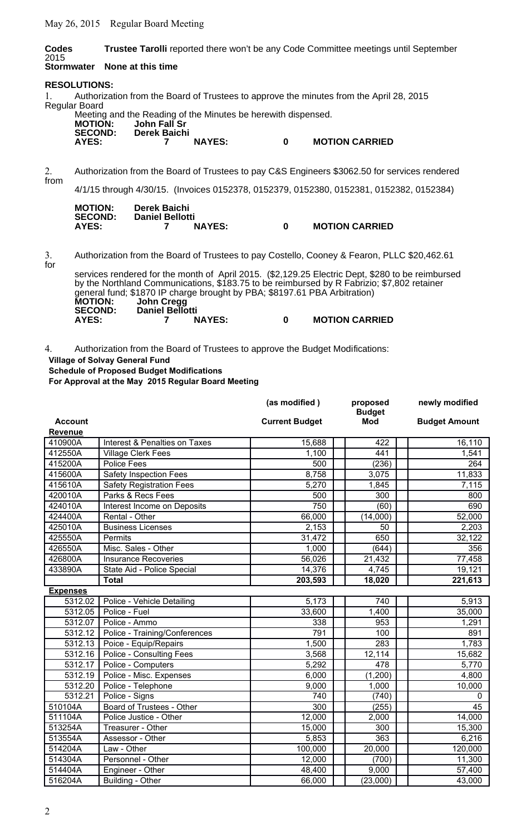May 26, 2015 Regular Board Meeting

**Codes Trustee Tarolli** reported there won't be any Code Committee meetings until September 2015<br>Stormwater **None at this time RESOLUTIONS:** 1. Authorization from the Board of Trustees to approve the minutes from the April 28, 2015 Regular Board Meeting and the Reading of the Minutes be herewith dispensed. **MOTION: John Fall Sr SECOND: Derek Baichi AYES: 7 NAYES: 0 MOTION CARRIED** 2. Authorization from the Board of Trustees to pay C&S Engineers \$3062.50 for services rendered from 4/1/15 through 4/30/15. (Invoices 0152378, 0152379, 0152380, 0152381, 0152382, 0152384)  **MOTION: Derek Baichi SECOND: Daniel Bellotti AYES: 7 NAYES: 0 MOTION CARRIED** 3. Authorization from the Board of Trustees to pay Costello, Cooney & Fearon, PLLC \$20,462.61 for services rendered for the month of April 2015. (\$2,129.25 Electric Dept, \$280 to be reimbursed by the Northland Communications, \$183.75 to be reimbursed by R Fabrizio; \$7,802 retainer general fund; \$1870 IP charge brought by PBA; \$8197.61 PBA Arbitration)<br>MOTION: John Cregg **MOTION: John Cregg**

**0 MOTION CARRIED** 

4. Authorization from the Board of Trustees to approve the Budget Modifications: **Village of Solvay General Fund**

**Schedule of Proposed Budget Modifications**

**For Approval at the May 2015 Regular Board Meeting**

SECOND: Daniel Bellotti<br>AYES: 7 NAYES:

|                 |                                 | (as modified)         | proposed                    | newly modified       |
|-----------------|---------------------------------|-----------------------|-----------------------------|----------------------|
| <b>Account</b>  |                                 | <b>Current Budget</b> | <b>Budget</b><br><b>Mod</b> | <b>Budget Amount</b> |
| <b>Revenue</b>  |                                 |                       |                             |                      |
| 410900A         | Interest & Penalties on Taxes   | 15,688                | 422                         | 16,110               |
| 412550A         | <b>Village Clerk Fees</b>       | 1,100                 | 441                         | 1,541                |
| 415200A         | <b>Police Fees</b>              | 500                   | (236)                       | 264                  |
| 415600A         | <b>Safety Inspection Fees</b>   | 8,758                 | 3,075                       | 11,833               |
| 415610A         | <b>Safety Registration Fees</b> | 5,270                 | 1,845                       | 7,115                |
| 420010A         | Parks & Recs Fees               | 500                   | 300                         | 800                  |
| 424010A         | Interest Income on Deposits     | 750                   | (60)                        | 690                  |
| 424400A         | Rental - Other                  | 66,000                | (14,000)                    | 52,000               |
| 425010A         | <b>Business Licenses</b>        | 2,153                 | 50                          | 2,203                |
| 425550A         | Permits                         | 31,472                | 650                         | 32,122               |
| 426550A         | Misc. Sales - Other             | 1,000                 | (644)                       | 356                  |
| 426800A         | <b>Insurance Recoveries</b>     | 56,026                | 21,432                      | 77,458               |
| 433890A         | State Aid - Police Special      | 14,376                | 4,745                       | 19,121               |
|                 | <b>Total</b>                    | 203,593               | 18,020                      | 221,613              |
| <b>Expenses</b> |                                 |                       |                             |                      |
| 5312.02         | Police - Vehicle Detailing      | 5,173                 | 740                         | 5,913                |
| 5312.05         | Police - Fuel                   | 33,600                | 1,400                       | 35,000               |
| 5312.07         | Police - Ammo                   | 338                   | 953                         | 1,291                |
| 5312.12         | Police - Training/Conferences   | 791                   | 100                         | 891                  |
| 5312.13         | Poice - Equip/Repairs           | 1,500                 | 283                         | 1,783                |
| 5312.16         | Police - Consulting Fees        | 3,568                 | 12,114                      | 15,682               |
| 5312.17         | Police - Computers              | 5,292                 | 478                         | 5,770                |
| 5312.19         | Police - Misc. Expenses         | 6,000                 | (1,200)                     | 4,800                |
| 5312.20         | Police - Telephone              | 9,000                 | 1,000                       | 10,000               |
| 5312.21         | Police - Signs                  | 740                   | (740)                       | 0                    |
| 510104A         | Board of Trustees - Other       | 300                   | (255)                       | 45                   |
| 511104A         | Police Justice - Other          | 12,000                | 2,000                       | 14,000               |
| 513254A         | Treasurer - Other               | 15,000                | 300                         | 15,300               |
| 513554A         | Assessor - Other                | 5,853                 | 363                         | 6,216                |
| 514204A         | Law - Other                     | 100,000               | 20,000                      | 120,000              |
| 514304A         | Personnel - Other               | 12,000                | (700)                       | 11,300               |
| 514404A         | Engineer - Other                | 48,400                | 9,000                       | 57,400               |
| 516204A         | Building - Other                | 66,000                | (23,000)                    | 43,000               |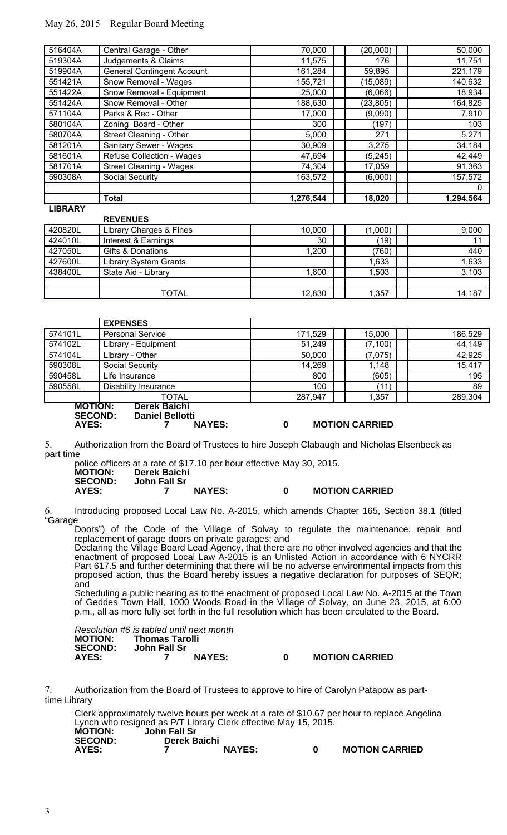# May 26, 2015 Regular Board Meeting

**REVENUES**

| IDDMDV  |                                   |           |           |           |
|---------|-----------------------------------|-----------|-----------|-----------|
|         | <b>Total</b>                      | 1,276,544 | 18,020    | 1,294,564 |
|         |                                   |           |           | 0         |
| 590308A | Social Security                   | 163,572   | (6,000)   | 157,572   |
| 581701A | <b>Street Cleaning - Wages</b>    | 74,304    | 17,059    | 91,363    |
| 581601A | <b>Refuse Collection - Wages</b>  | 47,694    | (5,245)   | 42,449    |
| 581201A | <b>Sanitary Sewer - Wages</b>     | 30,909    | 3,275     | 34,184    |
| 580704A | Street Cleaning - Other           | 5,000     | 271       | 5,271     |
| 580104A | Zoning Board - Other              | 300       | (197)     | 103       |
| 571104A | Parks & Rec - Other               | 17,000    | (9,090)   | 7,910     |
| 551424A | Snow Removal - Other              | 188,630   | (23, 805) | 164,825   |
| 551422A | Snow Removal - Equipment          | 25,000    | (6,066)   | 18,934    |
| 551421A | Snow Removal - Wages              | 155,721   | (15,089)  | 140,632   |
| 519904A | <b>General Contingent Account</b> | 161,284   | 59,895    | 221,179   |
| 519304A | Judgements & Claims               | 11,575    | 176       | 11,751    |
| 516404A | Central Garage - Other            | 70,000    | (20,000)  | 50,000    |

## **LIBRARY**

|         | <b>REVENUES</b>              |        |         |        |
|---------|------------------------------|--------|---------|--------|
| 420820L | Library Charges & Fines      | 10,000 | (1,000) | 9,000  |
| 424010L | Interest & Earnings          | 30     | ั19)    |        |
| 427050L | Gifts & Donations            | 1,200  | (760)   | 440    |
| 427600L | <b>Library System Grants</b> |        | 1,633   | 1,633  |
| 438400L | State Aid - Library          | 0.600  | 1,503   | 3,103  |
|         |                              |        |         |        |
|         | TOTAL                        | 12,830 | 1,357   | 14,187 |

|                                           | <b>EXPENSES</b>                                         |         |                       |         |
|-------------------------------------------|---------------------------------------------------------|---------|-----------------------|---------|
| 574101L                                   | <b>Personal Service</b>                                 | 171,529 | 15,000                | 186,529 |
| 574102L                                   | Library - Equipment                                     | 51,249  | (7, 100)              | 44,149  |
| 574104L                                   | Library - Other                                         | 50,000  | (7,075)               | 42,925  |
| 590308L                                   | Social Security                                         | 14,269  | 1,148                 | 15,417  |
| 590458L                                   | Life Insurance                                          | 800     | (605)                 | 195     |
| 590558L                                   | Disability Insurance                                    | 100     | (11)                  | 89      |
|                                           | <b>TOTAL</b>                                            | 287,947 | 1,357                 | 289,304 |
| <b>MOTION:</b><br><b>SECOND:</b><br>AYES: | Derek Baichi<br><b>Daniel Bellotti</b><br><b>NAYES:</b> | 0       | <b>MOTION CARRIED</b> |         |

5. Authorization from the Board of Trustees to hire Joseph Clabaugh and Nicholas Elsenbeck as part time

police officers at a rate of \$17.10 per hour effective May 30, 2015.<br> **MOTION:** Derek Baichi<br>
SECOND: John Fall Sr **MOTION: Derek Baichi SECOND: John Fall Sr AYES: 7 NAYES: 0 MOTION CARRIED**

6. Introducing proposed Local Law No. A-2015, which amends Chapter 165, Section 38.1 (titled "Garage

Doors") of the Code of the Village of Solvay to regulate the maintenance, repair and replacement of garage doors on private garages; and

Declaring the Village Board Lead Agency, that there are no other involved agencies and that the enactment of proposed Local Law A-2015 is an Unlisted Action in accordance with 6 NYCRR Part 617.5 and further determining that there will be no adverse environmental impacts from this proposed action, thus the Board hereby issues a negative declaration for purposes of SEQR; and

Scheduling a public hearing as to the enactment of proposed Local Law No. A-2015 at the Town of Geddes Town Hall, 1000 Woods Road in the Village of Solvay, on June 23, 2015, at 6:00 p.m., all as more fully set forth in the full resolution which has been circulated to the Board.

|                | Resolution #6 is tabled until next month |               |   |                       |
|----------------|------------------------------------------|---------------|---|-----------------------|
| <b>MOTION:</b> | Thomas Tarolli                           |               |   |                       |
| <b>SECOND:</b> | John Fall Sr                             |               |   |                       |
| AYES:          |                                          | <b>NAYES:</b> | n | <b>MOTION CARRIED</b> |

|  | <b>MOTION CARRIED</b> |
|--|-----------------------|
|--|-----------------------|

7. Authorization from the Board of Trustees to approve to hire of Carolyn Patapow as parttime Library

Clerk approximately twelve hours per week at a rate of \$10.67 per hour to replace Angelina Lynch who resigned as P/T Library Clerk effective May 15, 2015. **MOTION: John Fall Sr SECOND: Derek Baichi AYES: 7 NAYES: 0 MOTION CARRIED**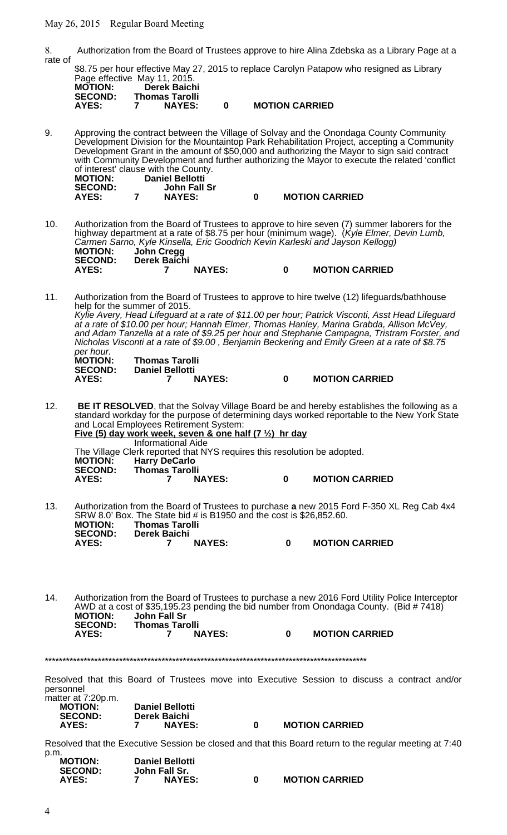May 26, 2015 Regular Board Meeting

8. Authorization from the Board of Trustees approve to hire Alina Zdebska as a Library Page at a rate of \$8.75 per hour effective May 27, 2015 to replace Carolyn Patapow who resigned as Library Page effective May 11, 2015

| <b>MOTION:</b>          | Derek Baichi                           |   |                       |
|-------------------------|----------------------------------------|---|-----------------------|
| <b>SECOND:</b><br>AYES: | <b>Thomas Tarolli</b><br><b>NAYES:</b> | n | <b>MOTION CARRIED</b> |
|                         |                                        |   |                       |

9. Approving the contract between the Village of Solvay and the Onondaga County Community Development Division for the Mountaintop Park Rehabilitation Project, accepting a Community Development Grant in the amount of \$50,000 and authorizing the Mayor to sign said contract with Community Development and further authorizing the Mayor to execute the related 'conflict of interest' clause with the County.<br>**MOTION:** Daniel Bellotti **MOTION: Daniel Bellotti SECOND: John Fall Sr AYES: 7 NAYES: 0 MOTION CARRIED**

- 10. Authorization from the Board of Trustees to approve to hire seven (7) summer laborers for the highway department at a rate of \$8.75 per hour (minimum wage). (Kyle Elmer, Devin Lumb, Cărmen Sarno, Kyle Kinsella, Eric Goodrich Kevin Karleski and Jayson Kellogg)<br>MOTION: John Cregg **MOTION: John Cregg SECOND: Derek Baichi AYES: 7 NAYES: 0 MOTION CARRIED**
- 11. Authorization from the Board of Trustees to approve to hire twelve (12) lifeguards/bathhouse help for the summer of 2015. Kylie Avery, Head Lifeguard at a rate of \$11.00 per hour; Patrick Visconti, Asst Head Lifeguard at a rate of \$10.00 per hour; Hannah Elmer, Thomas Hanley, Marina Grabda, Allison McVey, and Adam Tanzella at a rate of \$9.25 per hour and Stephanie Campagna, Tristram Forster, and Nicholas Visconti at a rate of \$9.00 , Benjamin Beckering and Emily Green at a rate of \$8.75 per hour.<br>**MOTION: MOTION: Thomas Tarolli SECOND: Daniel Bellotti AYES: 7 NAYES: 0 MOTION CARRIED**
- 12. **BE IT RESOLVED**, that the Solvay Village Board be and hereby establishes the following as a standard workday for the purpose of determining days worked reportable to the New York State and Local Employees Retirement System: **Five (5) day work week, seven & one half (7 ½) hr day** Informational Aide

The Village Clerk reported that NYS requires this resolution be adopted.<br>MOTION: Harry DeCarlo **MOTION: Harry DeCarlo SECOND: Thomas Tarolli 0 MOTION CARRIED** 

13. Authorization from the Board of Trustees to purchase **a** new 2015 Ford F-350 XL Reg Cab 4x4 SRW 8.0' Box. The State bid # is B1950 and the cost is \$26,852.60. **MOTION: Thomas Tarolli SECOND: Derek Baichi AYES: 7 NAYES: 0 MOTION CARRIED**

14. Authorization from the Board of Trustees to purchase a new 2016 Ford Utility Police Interceptor AWD at a cost of \$35,195.23 pending the bid number from Onondaga County. (Bid # 7418) **MOTION: John Fall Sr SECOND: Thomas Tarolli 0 MOTION CARRIED** 

\*\*\*\*\*\*\*\*\*\*\*\*\*\*\*\*\*\*\*\*\*\*\*\*\*\*\*\*\*\*\*\*\*\*\*\*\*\*\*\*\*\*\*\*\*\*\*\*\*\*\*\*\*\*\*\*\*\*\*\*\*\*\*\*\*\*\*\*\*\*\*\*\*\*\*\*\*\*\*\*\*\*\*\*\*\*\*\*\*\*\*

Resolved that this Board of Trustees move into Executive Session to discuss a contract and/or personnel

| matter at 7:20p.m. |  |
|--------------------|--|
| <b>MOTION:</b>     |  |
| <b>SECOND:</b>     |  |
| AYES:              |  |

**SECOND: Derek Baichi**

**AYES: 7 NAYES: 0 MOTION CARRIED**

Resolved that the Executive Session be closed and that this Board return to the regular meeting at 7:40 p.m.

| , , , , , ,    |                        |                       |
|----------------|------------------------|-----------------------|
| <b>MOTION:</b> | <b>Daniel Bellotti</b> |                       |
| <b>SECOND:</b> | John Fall Sr.          |                       |
| AYES:          | <b>NAYES:</b>          | <b>MOTION CARRIED</b> |

**Daniel Bellotti**